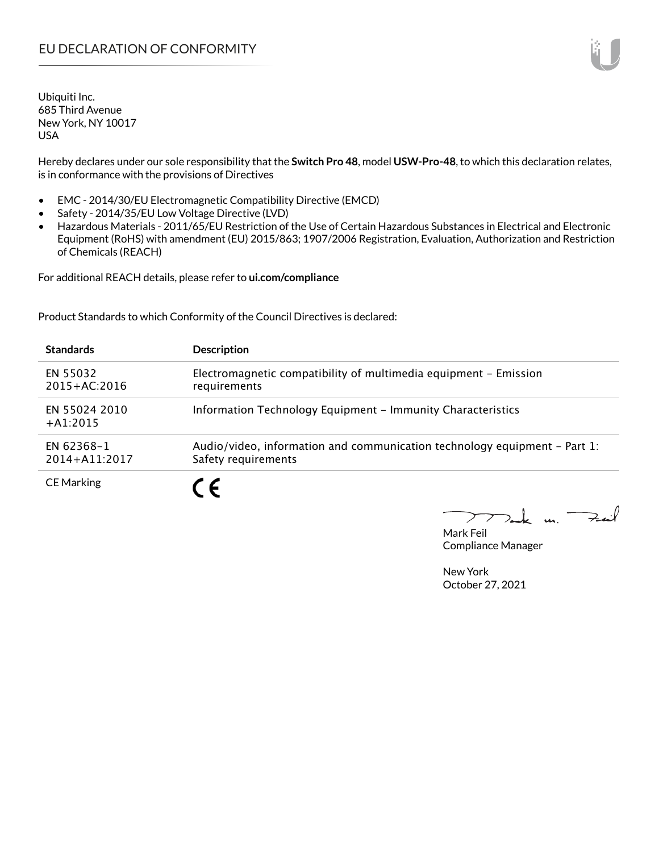Hereby declares under our sole responsibility that the **Switch Pro 48**, model **USW-Pro-48**, to which this declaration relates, is in conformance with the provisions of Directives

- EMC 2014/30/EU Electromagnetic Compatibility Directive (EMCD)
- Safety 2014/35/EU Low Voltage Directive (LVD)
- Hazardous Materials 2011/65/EU Restriction of the Use of Certain Hazardous Substances in Electrical and Electronic Equipment (RoHS) with amendment (EU) 2015/863; 1907/2006 Registration, Evaluation, Authorization and Restriction of Chemicals (REACH)

For additional REACH details, please refer to **ui.com/compliance**

Product Standards to which Conformity of the Council Directives is declared:

| <b>Standards</b>                | <b>Description</b>                                                                               |
|---------------------------------|--------------------------------------------------------------------------------------------------|
| EN 55032<br>$2015 + AC:2016$    | Electromagnetic compatibility of multimedia equipment - Emission<br>requirements                 |
| EN 55024 2010<br>$+41:2015$     | Information Technology Equipment - Immunity Characteristics                                      |
| EN 62368-1<br>$2014 + A11:2017$ | Audio/video, information and communication technology equipment - Part 1:<br>Safety requirements |
| <b>CE Marking</b>               |                                                                                                  |

Tak m. Fail  $\blacktriangleright$ 

Mark Feil Compliance Manager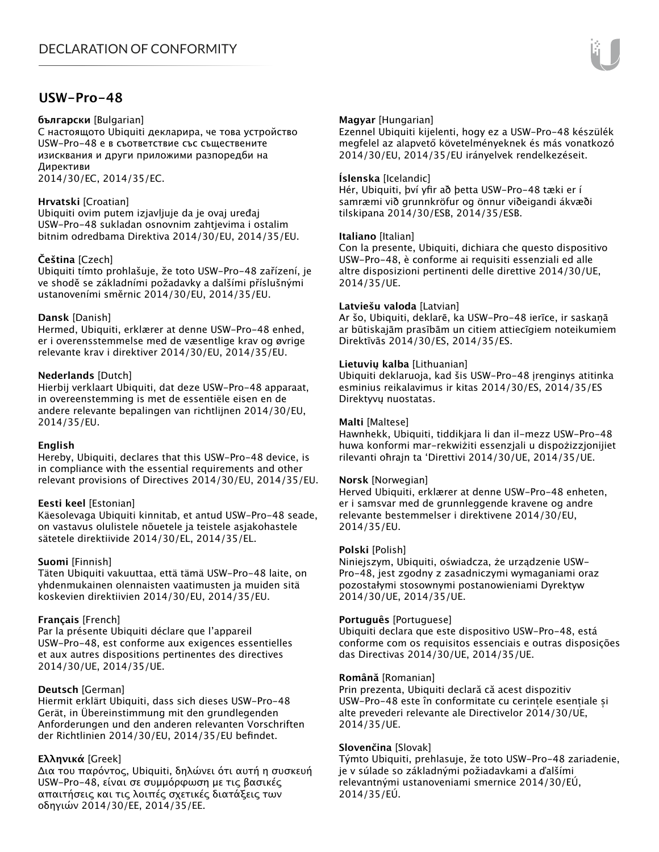## **USW-Pro-48**

#### **български** [Bulgarian]

С настоящото Ubiquiti декларира, че това устройство USW-Pro-48 е в съответствие със съществените изисквания и други приложими разпоредби на Директиви

2014/30/ЕС, 2014/35/ЕС.

## **Hrvatski** [Croatian]

Ubiquiti ovim putem izjavljuje da je ovaj uređaj USW-Pro-48 sukladan osnovnim zahtjevima i ostalim bitnim odredbama Direktiva 2014/30/EU, 2014/35/EU.

## **Čeština** [Czech]

Ubiquiti tímto prohlašuje, že toto USW-Pro-48 zařízení, je ve shodě se základními požadavky a dalšími příslušnými ustanoveními směrnic 2014/30/EU, 2014/35/EU.

## **Dansk** [Danish]

Hermed, Ubiquiti, erklærer at denne USW-Pro-48 enhed, er i overensstemmelse med de væsentlige krav og øvrige relevante krav i direktiver 2014/30/EU, 2014/35/EU.

## **Nederlands** [Dutch]

Hierbij verklaart Ubiquiti, dat deze USW-Pro-48 apparaat, in overeenstemming is met de essentiële eisen en de andere relevante bepalingen van richtlijnen 2014/30/EU, 2014/35/EU.

## **English**

Hereby, Ubiquiti, declares that this USW-Pro-48 device, is in compliance with the essential requirements and other relevant provisions of Directives 2014/30/EU, 2014/35/EU.

## **Eesti keel** [Estonian]

Käesolevaga Ubiquiti kinnitab, et antud USW-Pro-48 seade, on vastavus olulistele nõuetele ja teistele asjakohastele sätetele direktiivide 2014/30/EL, 2014/35/EL.

## **Suomi** [Finnish]

Täten Ubiquiti vakuuttaa, että tämä USW-Pro-48 laite, on yhdenmukainen olennaisten vaatimusten ja muiden sitä koskevien direktiivien 2014/30/EU, 2014/35/EU.

## **Français** [French]

Par la présente Ubiquiti déclare que l'appareil USW-Pro-48, est conforme aux exigences essentielles et aux autres dispositions pertinentes des directives 2014/30/UE, 2014/35/UE.

## **Deutsch** [German]

Hiermit erklärt Ubiquiti, dass sich dieses USW-Pro-48 Gerät, in Übereinstimmung mit den grundlegenden Anforderungen und den anderen relevanten Vorschriften der Richtlinien 2014/30/EU, 2014/35/EU befindet.

## **Ελληνικά** [Greek]

Δια του παρόντος, Ubiquiti, δηλώνει ότι αυτή η συσκευή USW-Pro-48, είναι σε συμμόρφωση με τις βασικές απαιτήσεις και τις λοιπές σχετικές διατάξεις των οδηγιών 2014/30/EE, 2014/35/EE.

## **Magyar** [Hungarian]

Ezennel Ubiquiti kijelenti, hogy ez a USW-Pro-48 készülék megfelel az alapvető követelményeknek és más vonatkozó 2014/30/EU, 2014/35/EU irányelvek rendelkezéseit.

#### **Íslenska** [Icelandic]

Hér, Ubiquiti, því yfir að þetta USW-Pro-48 tæki er í samræmi við grunnkröfur og önnur viðeigandi ákvæði tilskipana 2014/30/ESB, 2014/35/ESB.

#### **Italiano** [Italian]

Con la presente, Ubiquiti, dichiara che questo dispositivo USW-Pro-48, è conforme ai requisiti essenziali ed alle altre disposizioni pertinenti delle direttive 2014/30/UE, 2014/35/UE.

#### **Latviešu valoda** [Latvian]

Ar šo, Ubiquiti, deklarē, ka USW-Pro-48 ierīce, ir saskaņā ar būtiskajām prasībām un citiem attiecīgiem noteikumiem Direktīvās 2014/30/ES, 2014/35/ES.

#### **Lietuvių kalba** [Lithuanian]

Ubiquiti deklaruoja, kad šis USW-Pro-48 įrenginys atitinka esminius reikalavimus ir kitas 2014/30/ES, 2014/35/ES Direktyvų nuostatas.

#### **Malti** [Maltese]

Hawnhekk, Ubiquiti, tiddikjara li dan il-mezz USW-Pro-48 huwa konformi mar-rekwiżiti essenzjali u dispożizzjonijiet rilevanti oħrajn ta 'Direttivi 2014/30/UE, 2014/35/UE.

#### **Norsk** [Norwegian]

Herved Ubiquiti, erklærer at denne USW-Pro-48 enheten, er i samsvar med de grunnleggende kravene og andre relevante bestemmelser i direktivene 2014/30/EU, 2014/35/EU.

#### **Polski** [Polish]

Niniejszym, Ubiquiti, oświadcza, że urządzenie USW-Pro-48, jest zgodny z zasadniczymi wymaganiami oraz pozostałymi stosownymi postanowieniami Dyrektyw 2014/30/UE, 2014/35/UE.

#### **Português** [Portuguese]

Ubiquiti declara que este dispositivo USW-Pro-48, está conforme com os requisitos essenciais e outras disposições das Directivas 2014/30/UE, 2014/35/UE.

#### **Română** [Romanian]

Prin prezenta, Ubiquiti declară că acest dispozitiv USW-Pro-48 este în conformitate cu cerințele esențiale și alte prevederi relevante ale Directivelor 2014/30/UE, 2014/35/UE.

## **Slovenčina** [Slovak]

Týmto Ubiquiti, prehlasuje, že toto USW-Pro-48 zariadenie, je v súlade so základnými požiadavkami a ďalšími relevantnými ustanoveniami smernice 2014/30/EÚ, 2014/35/EÚ.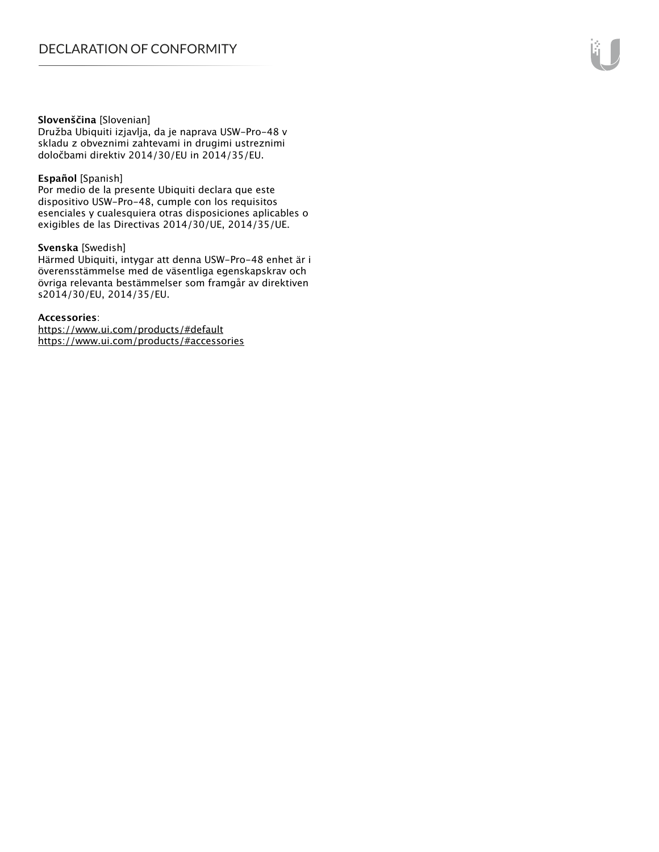#### **Slovenščina** [Slovenian]

Družba Ubiquiti izjavlja, da je naprava USW-Pro-48 v skladu z obveznimi zahtevami in drugimi ustreznimi določbami direktiv 2014/30/EU in 2014/35/EU.

#### **Español** [Spanish]

Por medio de la presente Ubiquiti declara que este dispositivo USW-Pro-48, cumple con los requisitos esenciales y cualesquiera otras disposiciones aplicables o exigibles de las Directivas 2014/30/UE, 2014/35/UE.

#### **Svenska** [Swedish]

Härmed Ubiquiti, intygar att denna USW-Pro-48 enhet är i överensstämmelse med de väsentliga egenskapskrav och övriga relevanta bestämmelser som framgår av direktiven s2014/30/EU, 2014/35/EU.

#### **Accessories**:

https://www.ui.com/products/#default https://www.ui.com/products/#accessories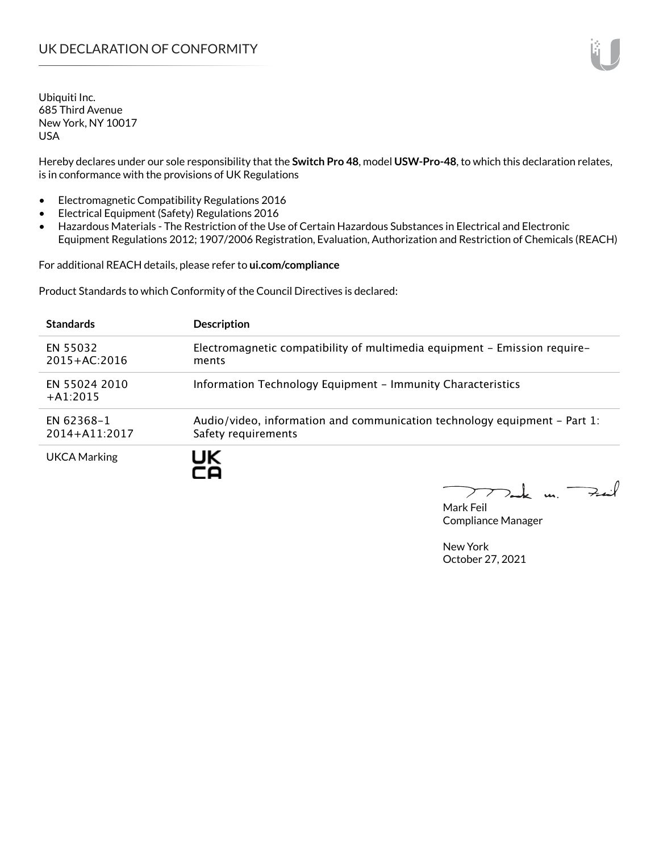Hereby declares under our sole responsibility that the **Switch Pro 48**, model **USW-Pro-48**, to which this declaration relates, is in conformance with the provisions of UK Regulations

- Electromagnetic Compatibility Regulations 2016
- Electrical Equipment (Safety) Regulations 2016
- Hazardous Materials The Restriction of the Use of Certain Hazardous Substances in Electrical and Electronic Equipment Regulations 2012; 1907/2006 Registration, Evaluation, Authorization and Restriction of Chemicals (REACH)

For additional REACH details, please refer to **ui.com/compliance**

Product Standards to which Conformity of the Council Directives is declared:

| <b>Standards</b>                | <b>Description</b>                                                                               |
|---------------------------------|--------------------------------------------------------------------------------------------------|
| EN 55032<br>$2015 + AC:2016$    | Electromagnetic compatibility of multimedia equipment - Emission require-<br>ments               |
| EN 55024 2010<br>$+A1:2015$     | Information Technology Equipment - Immunity Characteristics                                      |
| EN 62368-1<br>$2014 + A11:2017$ | Audio/video, information and communication technology equipment – Part 1:<br>Safety requirements |
| <b>UKCA Marking</b>             |                                                                                                  |

Tak m. Fail  $\sum$ 

Mark Feil Compliance Manager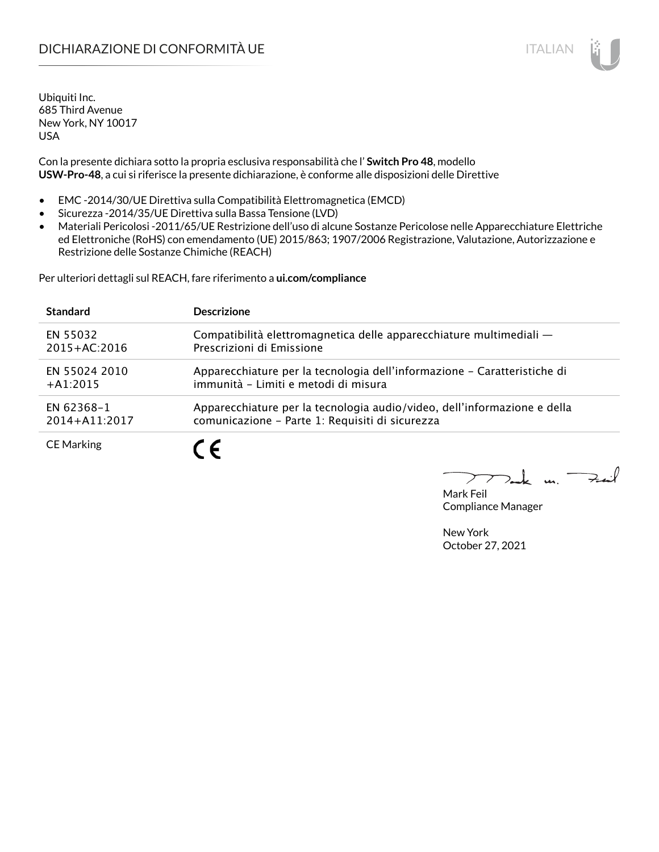# DICHIARAZIONE DI CONFORMITÀ UE ITALIAN IN ESSENTIANO IN ESSENTIA UN ESSENTIA UN ESSENTIA UN ESSENTIA UN ESSENT

Ubiquiti Inc. 685 Third Avenue New York, NY 10017 USA

Con la presente dichiara sotto la propria esclusiva responsabilità che l' **Switch Pro 48**, modello **USW-Pro-48**, a cui si riferisce la presente dichiarazione, è conforme alle disposizioni delle Direttive

- EMC -2014/30/UE Direttiva sulla Compatibilità Elettromagnetica (EMCD)
- Sicurezza -2014/35/UE Direttiva sulla Bassa Tensione (LVD)
- Materiali Pericolosi -2011/65/UE Restrizione dell'uso di alcune Sostanze Pericolose nelle Apparecchiature Elettriche ed Elettroniche (RoHS) con emendamento (UE) 2015/863; 1907/2006 Registrazione, Valutazione, Autorizzazione e Restrizione delle Sostanze Chimiche (REACH)

Per ulteriori dettagli sul REACH, fare riferimento a **ui.com/compliance**

| <b>Standard</b>   | <b>Descrizione</b>                                                       |
|-------------------|--------------------------------------------------------------------------|
| EN 55032          | Compatibilità elettromagnetica delle apparecchiature multimediali -      |
| $2015 + AC:2016$  | Prescrizioni di Emissione                                                |
| EN 55024 2010     | Apparecchiature per la tecnologia dell'informazione – Caratteristiche di |
| $+A1:2015$        | immunità - Limiti e metodi di misura                                     |
| EN 62368-1        | Apparecchiature per la tecnologia audio/video, dell'informazione e della |
| 2014+A11:2017     | comunicazione - Parte 1: Requisiti di sicurezza                          |
| <b>CE Marking</b> |                                                                          |

 $\Rightarrow$ inf  $\overline{u}$ 

Mark Feil Compliance Manager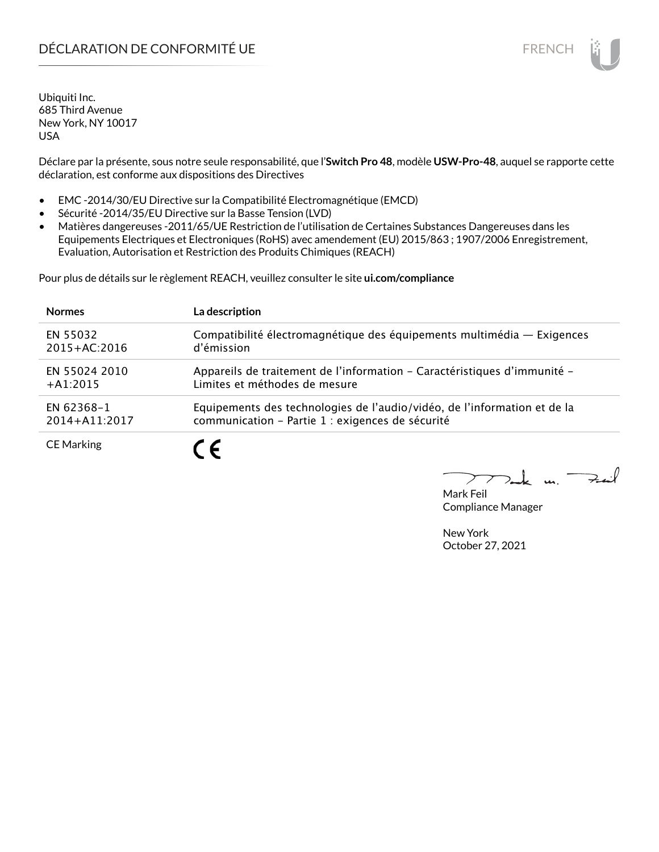# DÉCLARATION DE CONFORMITÉ UE EN ENCHANGEMENT DE CONFORMITÉ UNE ENCHANGEMENT DE CONFORMITÉ UNE ENCHANGEMENT DE

Ubiquiti Inc. 685 Third Avenue New York, NY 10017 USA

Déclare par la présente, sous notre seule responsabilité, que l'**Switch Pro 48**, modèle **USW-Pro-48**, auquel se rapporte cette déclaration, est conforme aux dispositions des Directives

- EMC -2014/30/EU Directive sur la Compatibilité Electromagnétique (EMCD)
- Sécurité -2014/35/EU Directive sur la Basse Tension (LVD)
- Matières dangereuses -2011/65/UE Restriction de l'utilisation de Certaines Substances Dangereuses dans les Equipements Electriques et Electroniques (RoHS) avec amendement (EU) 2015/863 ; 1907/2006 Enregistrement, Evaluation, Autorisation et Restriction des Produits Chimiques (REACH)

Pour plus de détails sur le règlement REACH, veuillez consulter le site **ui.com/compliance**

| <b>Normes</b>     | La description                                                           |
|-------------------|--------------------------------------------------------------------------|
| EN 55032          | Compatibilité électromagnétique des équipements multimédia - Exigences   |
| $2015 + AC:2016$  | d'émission                                                               |
| EN 55024 2010     | Appareils de traitement de l'information - Caractéristiques d'immunité - |
| $+A1:2015$        | Limites et méthodes de mesure                                            |
| EN 62368-1        | Equipements des technologies de l'audio/vidéo, de l'information et de la |
| 2014+A11:2017     | communication - Partie 1 : exigences de sécurité                         |
| <b>CE Marking</b> |                                                                          |

لأبدحت  $\mathbf{u}$ 

Mark Feil Compliance Manager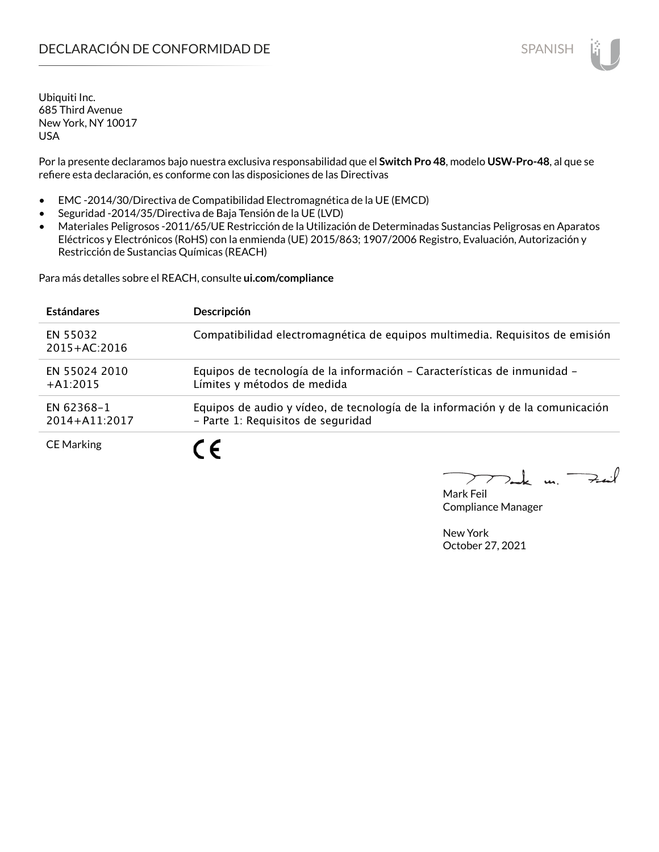Por la presente declaramos bajo nuestra exclusiva responsabilidad que el **Switch Pro 48**, modelo **USW-Pro-48**, al que se refiere esta declaración, es conforme con las disposiciones de las Directivas

- EMC -2014/30/Directiva de Compatibilidad Electromagnética de la UE (EMCD)
- Seguridad -2014/35/Directiva de Baja Tensión de la UE (LVD)
- Materiales Peligrosos -2011/65/UE Restricción de la Utilización de Determinadas Sustancias Peligrosas en Aparatos Eléctricos y Electrónicos (RoHS) con la enmienda (UE) 2015/863; 1907/2006 Registro, Evaluación, Autorización y Restricción de Sustancias Químicas (REACH)

Para más detalles sobre el REACH, consulte **ui.com/compliance**

| <b>Estándares</b>            | Descripción                                                                                                          |
|------------------------------|----------------------------------------------------------------------------------------------------------------------|
| EN 55032<br>$2015 + AC:2016$ | Compatibilidad electromagnética de equipos multimedia. Requisitos de emisión                                         |
| EN 55024 2010<br>$+A1:2015$  | Equipos de tecnología de la información - Características de inmunidad -<br>Límites y métodos de medida              |
| EN 62368-1<br>2014+A11:2017  | Equipos de audio y vídeo, de tecnología de la información y de la comunicación<br>- Parte 1: Requisitos de seguridad |
| <b>CE Marking</b>            | 7 C                                                                                                                  |

Mark Feil Compliance Manager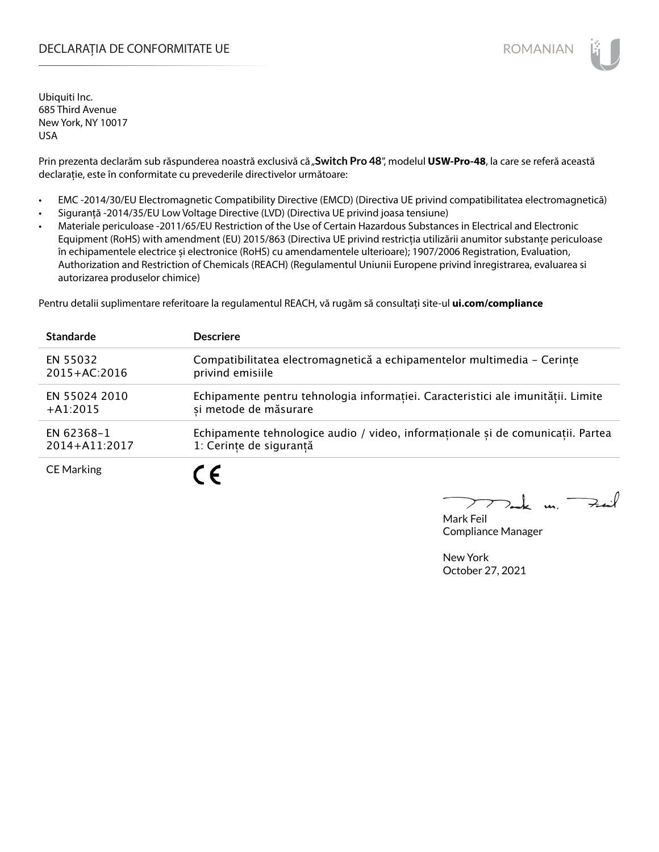## DECLARAȚIA DE CONFORMITATE UE EXTERNATION ANNO 1999 EN ANNO 1999 ROMANIAN

Ubiquiti Inc. 685 Third Avenue New York, NY 10017 USA

Prin prezenta declarăm sub răspunderea noastră exclusivă că "Switch Pro 48", modelul USW-Pro-48, la care se referă această declarație, este în conformitate cu prevederile directivelor următoare:

- EMC -2014/30/EU Electromagnetic Compatibility Directive (EMCD) (Directiva UE privind compatibilitatea electromagnetică)
- Siguranță -2014/35/EU Low Voltage Directive (LVD) (Directiva UE privind joasa tensiune)
- Materiale periculoase -2011/65/EU Restriction of the Use of Certain Hazardous Substances in Electrical and Electronic Equipment (RoHS) with amendment (EU) 2015/863 (Directiva UE privind restricția utilizării anumitor substanțe periculoase în echipamentele electrice și electronice (RoHS) cu amendamentele ulterioare); 1907/2006 Registration, Evaluation, Authorization and Restriction of Chemicals (REACH) (Regulamentul Uniunii Europene privind înregistrarea, evaluarea si autorizarea produselor chimice)

Pentru detalii suplimentare referitoare la regulamentul REACH, vă rugăm să consultați site-ul **ui.com/compliance**

| <b>Standarde</b>  | <b>Descriere</b>                                                                 |
|-------------------|----------------------------------------------------------------------------------|
| EN 55032          | Compatibilitatea electromagnetică a echipamentelor multimedia - Cerințe          |
| $2015 + AC:2016$  | privind emisiile                                                                 |
| EN 55024 2010     | Echipamente pentru tehnologia informației. Caracteristici ale imunității. Limite |
| $+A1:2015$        | si metode de măsurare                                                            |
| EN 62368-1        | Echipamente tehnologice audio / video, informationale și de comunicatii. Partea  |
| 2014+A11:2017     | 1: Cerințe de siguranță                                                          |
| <b>CE Marking</b> | C F                                                                              |

 $m.$  Fail

Mark Feil Compliance Manager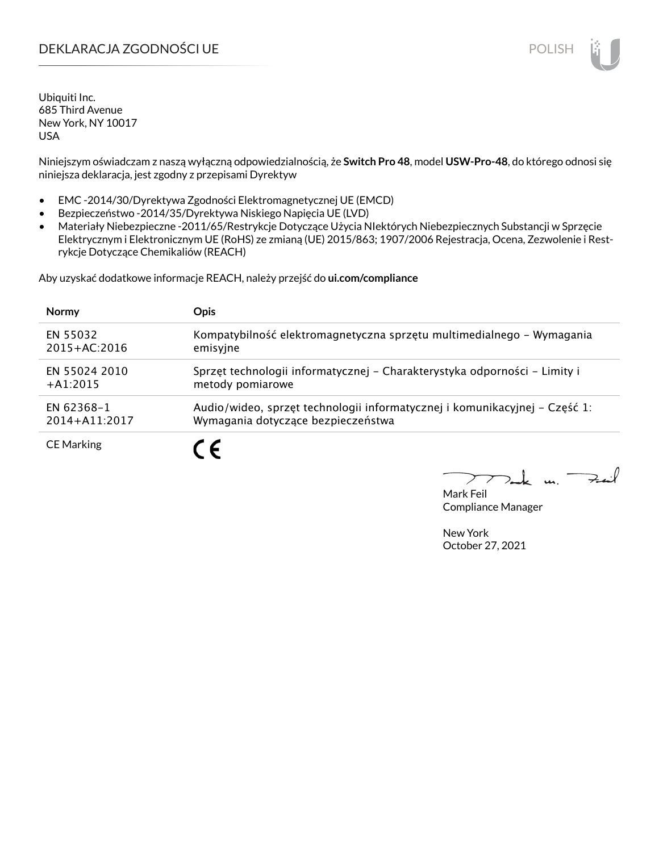# DEKLARACJA ZGODNOŚCI UE POLISH POLISH

Ubiquiti Inc. 685 Third Avenue New York, NY 10017 USA

Niniejszym oświadczam z naszą wyłączną odpowiedzialnością, że **Switch Pro 48**, model **USW-Pro-48**, do którego odnosi się niniejsza deklaracja, jest zgodny z przepisami Dyrektyw

- EMC -2014/30/Dyrektywa Zgodności Elektromagnetycznej UE (EMCD)
- Bezpieczeństwo -2014/35/Dyrektywa Niskiego Napięcia UE (LVD)
- Materiały Niebezpieczne -2011/65/Restrykcje Dotyczące Użycia NIektórych Niebezpiecznych Substancji w Sprzęcie Elektrycznym i Elektronicznym UE (RoHS) ze zmianą (UE) 2015/863; 1907/2006 Rejestracja, Ocena, Zezwolenie i Restrykcje Dotyczące Chemikaliów (REACH)

Aby uzyskać dodatkowe informacje REACH, należy przejść do **ui.com/compliance**

| <b>Normy</b>      | <b>Opis</b>                                                                |
|-------------------|----------------------------------------------------------------------------|
| EN 55032          | Kompatybilność elektromagnetyczna sprzętu multimedialnego – Wymagania      |
| $2015 + AC:2016$  | emisyjne                                                                   |
| EN 55024 2010     | Sprzęt technologii informatycznej - Charakterystyka odporności - Limity i  |
| $+41:2015$        | metody pomiarowe                                                           |
| EN 62368-1        | Audio/wideo, sprzęt technologii informatycznej i komunikacyjnej – Część 1: |
| 2014+A11:2017     | Wymagania dotyczące bezpieczeństwa                                         |
| <b>CE Marking</b> |                                                                            |

لأمدحة  $\mathbf{u}$ 

Mark Feil Compliance Manager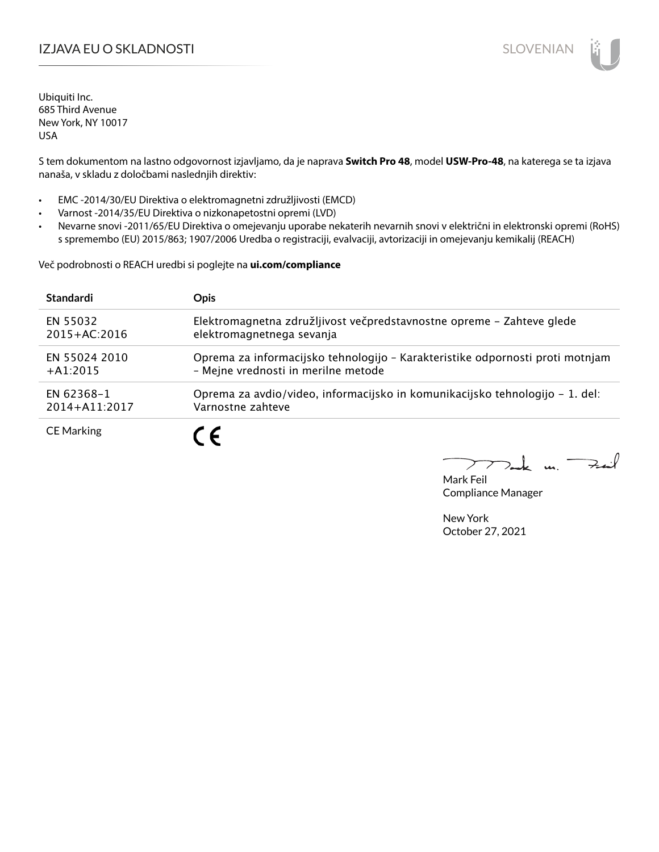# IZJAVA EU O SKLADNOSTI SLOVENIAN

Ubiquiti Inc. 685 Third Avenue New York, NY 10017 USA

S tem dokumentom na lastno odgovornost izjavljamo, da je naprava **Switch Pro 48**, model **USW-Pro-48**, na katerega se ta izjava nanaša, v skladu z določbami naslednjih direktiv:

- EMC -2014/30/EU Direktiva o elektromagnetni združljivosti (EMCD)
- Varnost -2014/35/EU Direktiva o nizkonapetostni opremi (LVD)
- Nevarne snovi -2011/65/EU Direktiva o omejevanju uporabe nekaterih nevarnih snovi v električni in elektronski opremi (RoHS) s spremembo (EU) 2015/863; 1907/2006 Uredba o registraciji, evalvaciji, avtorizaciji in omejevanju kemikalij (REACH)

Več podrobnosti o REACH uredbi si poglejte na **ui.com/compliance**

| <b>Standardi</b>  | <b>Opis</b>                                                                   |
|-------------------|-------------------------------------------------------------------------------|
| EN 55032          | Elektromagnetna združljivost večpredstavnostne opreme – Zahteve glede         |
| $2015 + AC:2016$  | elektromagnetnega sevanja                                                     |
| EN 55024 2010     | Oprema za informacijsko tehnologijo - Karakteristike odpornosti proti motnjam |
| $+41:2015$        | - Mejne vrednosti in merilne metode                                           |
| EN 62368-1        | Oprema za avdio/video, informacijsko in komunikacijsko tehnologijo – 1. del:  |
| 2014+A11:2017     | Varnostne zahteve                                                             |
| <b>CE Marking</b> |                                                                               |

 $k$  un  $\rightarrow$ 

Mark Feil Compliance Manager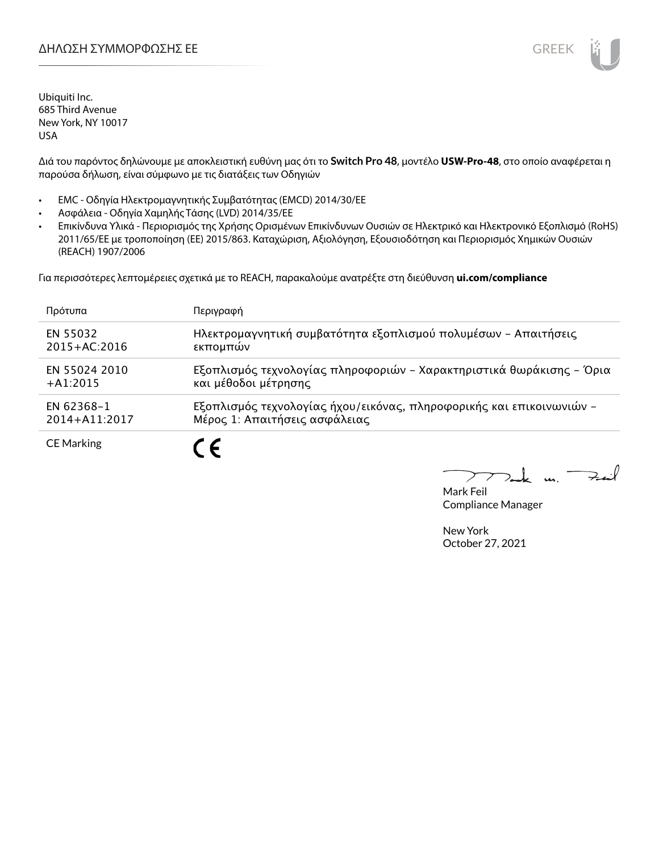

Διά του παρόντος δηλώνουμε με αποκλειστική ευθύνη μας ότι το **Switch Pro 48**, μοντέλο **USW-Pro-48**, στο οποίο αναφέρεται η παρούσα δήλωση, είναι σύμφωνο με τις διατάξεις των Οδηγιών

- EMC Οδηγία Ηλεκτρομαγνητικής Συμβατότητας (EMCD) 2014/30/ΕΕ
- Ασφάλεια Οδηγία Χαμηλής Τάσης (LVD) 2014/35/ΕΕ
- Επικίνδυνα Υλικά Περιορισμός της Χρήσης Ορισμένων Επικίνδυνων Ουσιών σε Ηλεκτρικό και Ηλεκτρονικό Εξοπλισμό (RoHS) 2011/65/ΕΕ με τροποποίηση (ΕΕ) 2015/863. Καταχώριση, Αξιολόγηση, Εξουσιοδότηση και Περιορισμός Χημικών Ουσιών (REACH) 1907/2006

Για περισσότερες λεπτομέρειες σχετικά με το REACH, παρακαλούμε ανατρέξτε στη διεύθυνση **ui.com/compliance**

| Πρότυπα           | Περιγραφή                                                            |
|-------------------|----------------------------------------------------------------------|
| EN 55032          | Ηλεκτρομαγνητική συμβατότητα εξοπλισμού πολυμέσων - Απαιτήσεις       |
| $2015 + AC:2016$  | εκπομπών                                                             |
| EN 55024 2010     | Εξοπλισμός τεχνολογίας πληροφοριών - Χαρακτηριστικά θωράκισης - Όρια |
| $+A1:2015$        | και μέθοδοι μέτρησης                                                 |
| EN 62368-1        | Εξοπλισμός τεχνολογίας ήχου/εικόνας, πληροφορικής και επικοινωνιών - |
| 2014+A11:2017     | Μέρος 1: Απαιτήσεις ασφάλειας                                        |
| <b>CE Marking</b> |                                                                      |

 $\rightarrow$ t u ↗

Mark Feil Compliance Manager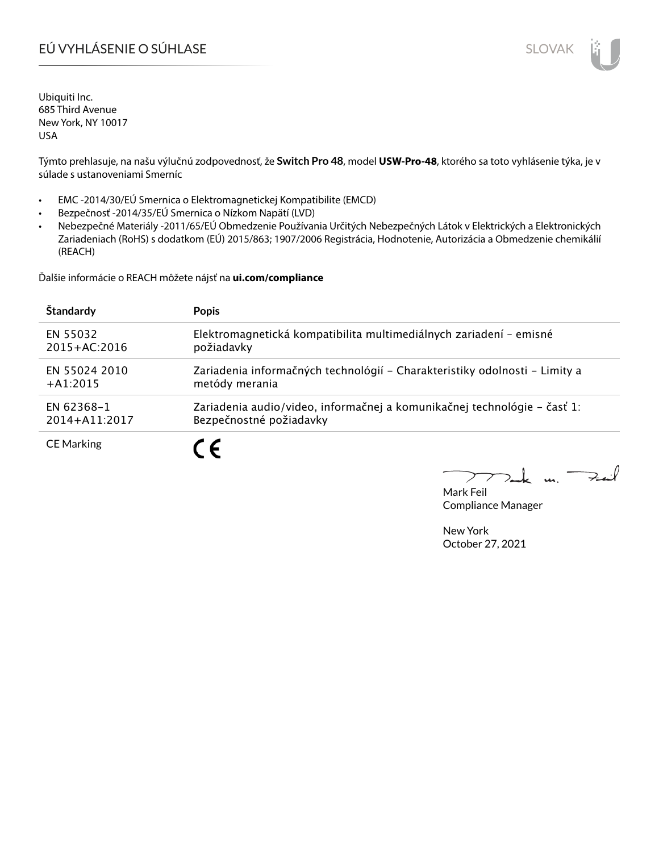# EÚ VYHLÁSENIE O SÚHLASE SLOVAK SLOVAK

Ubiquiti Inc. 685 Third Avenue New York, NY 10017 USA

Týmto prehlasuje, na našu výlučnú zodpovednosť, že **Switch Pro 48**, model **USW-Pro-48**, ktorého sa toto vyhlásenie týka, je v súlade s ustanoveniami Smerníc

- EMC -2014/30/EÚ Smernica o Elektromagnetickej Kompatibilite (EMCD)
- Bezpečnosť -2014/35/EÚ Smernica o Nízkom Napätí (LVD)
- Nebezpečné Materiály -2011/65/EÚ Obmedzenie Používania Určitých Nebezpečných Látok v Elektrických a Elektronických Zariadeniach (RoHS) s dodatkom (EÚ) 2015/863; 1907/2006 Registrácia, Hodnotenie, Autorizácia a Obmedzenie chemikálií (REACH)

Ďalšie informácie o REACH môžete nájsť na **ui.com/compliance**

| Štandardy         | <b>Popis</b>                                                               |
|-------------------|----------------------------------------------------------------------------|
| EN 55032          | Elektromagnetická kompatibilita multimediálnych zariadení - emisné         |
| $2015 + AC:2016$  | požiadavky                                                                 |
| EN 55024 2010     | Zariadenia informačných technológií – Charakteristiky odolnosti – Limity a |
| $+A1:2015$        | metódy merania                                                             |
| EN 62368-1        | Zariadenia audio/video, informačnej a komunikačnej technológie – časť 1:   |
| 2014+A11:2017     | Bezpečnostné požiadavky                                                    |
| <b>CE Marking</b> |                                                                            |

 $k$  un  $\rightarrow$  $\sum$ 

Mark Feil Compliance Manager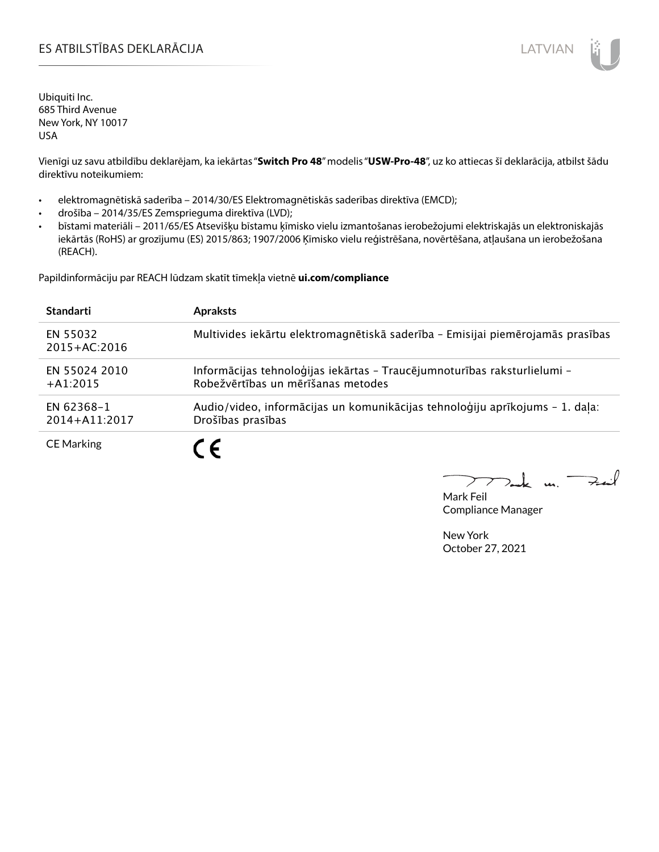## ES ATBILSTĪBAS DEKLARĀCIJA PARA ATRIEVIENA UN ATVIAN

Ubiquiti Inc. 685 Third Avenue New York, NY 10017 USA

Vienīgi uz savu atbildību deklarējam, ka iekārtas "**Switch Pro 48**" modelis "**USW-Pro-48**", uz ko attiecas šī deklarācija, atbilst šādu direktīvu noteikumiem:

- elektromagnētiskā saderība 2014/30/ES Elektromagnētiskās saderības direktīva (EMCD);
- drošība 2014/35/ES Zemsprieguma direktīva (LVD);
- bīstami materiāli 2011/65/ES Atsevišķu bīstamu ķīmisko vielu izmantošanas ierobežojumi elektriskajās un elektroniskajās iekārtās (RoHS) ar grozījumu (ES) 2015/863; 1907/2006 Ķīmisko vielu reģistrēšana, novērtēšana, atļaušana un ierobežošana (REACH).

Papildinformāciju par REACH lūdzam skatīt tīmekļa vietnē **ui.com/compliance**

| <b>Standarti</b>             | <b>Apraksts</b>                                                                                                |
|------------------------------|----------------------------------------------------------------------------------------------------------------|
| EN 55032<br>$2015 + AC:2016$ | Multivides iekārtu elektromagnētiskā saderība - Emisijai piemērojamās prasības                                 |
| EN 55024 2010<br>$+41:2015$  | Informācijas tehnoloģijas iekārtas - Traucējumnoturības raksturlielumi -<br>Robežvērtības un mērīšanas metodes |
| EN 62368-1<br>2014+A11:2017  | Audio/video, informācijas un komunikācijas tehnoloģiju aprīkojums - 1. daļa:<br>Drošības prasības              |
| <b>CE Marking</b>            |                                                                                                                |

 $\mathbf{u}$ 

Mark Feil Compliance Manager